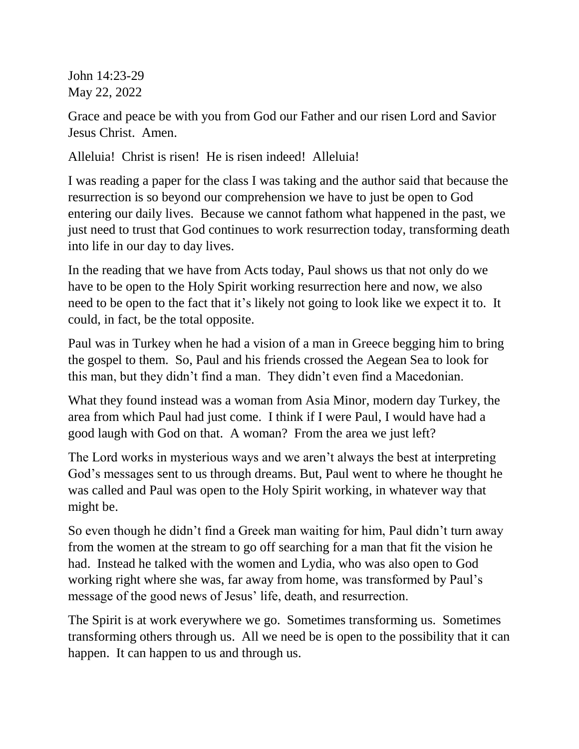John 14:23-29 May 22, 2022

Grace and peace be with you from God our Father and our risen Lord and Savior Jesus Christ. Amen.

Alleluia! Christ is risen! He is risen indeed! Alleluia!

I was reading a paper for the class I was taking and the author said that because the resurrection is so beyond our comprehension we have to just be open to God entering our daily lives. Because we cannot fathom what happened in the past, we just need to trust that God continues to work resurrection today, transforming death into life in our day to day lives.

In the reading that we have from Acts today, Paul shows us that not only do we have to be open to the Holy Spirit working resurrection here and now, we also need to be open to the fact that it's likely not going to look like we expect it to. It could, in fact, be the total opposite.

Paul was in Turkey when he had a vision of a man in Greece begging him to bring the gospel to them. So, Paul and his friends crossed the Aegean Sea to look for this man, but they didn't find a man. They didn't even find a Macedonian.

What they found instead was a woman from Asia Minor, modern day Turkey, the area from which Paul had just come. I think if I were Paul, I would have had a good laugh with God on that. A woman? From the area we just left?

The Lord works in mysterious ways and we aren't always the best at interpreting God's messages sent to us through dreams. But, Paul went to where he thought he was called and Paul was open to the Holy Spirit working, in whatever way that might be.

So even though he didn't find a Greek man waiting for him, Paul didn't turn away from the women at the stream to go off searching for a man that fit the vision he had. Instead he talked with the women and Lydia, who was also open to God working right where she was, far away from home, was transformed by Paul's message of the good news of Jesus' life, death, and resurrection.

The Spirit is at work everywhere we go. Sometimes transforming us. Sometimes transforming others through us. All we need be is open to the possibility that it can happen. It can happen to us and through us.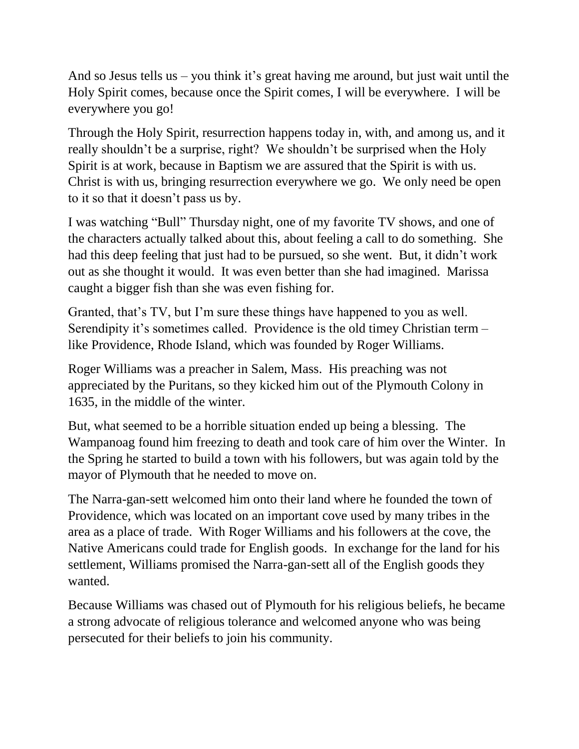And so Jesus tells us – you think it's great having me around, but just wait until the Holy Spirit comes, because once the Spirit comes, I will be everywhere. I will be everywhere you go!

Through the Holy Spirit, resurrection happens today in, with, and among us, and it really shouldn't be a surprise, right? We shouldn't be surprised when the Holy Spirit is at work, because in Baptism we are assured that the Spirit is with us. Christ is with us, bringing resurrection everywhere we go. We only need be open to it so that it doesn't pass us by.

I was watching "Bull" Thursday night, one of my favorite TV shows, and one of the characters actually talked about this, about feeling a call to do something. She had this deep feeling that just had to be pursued, so she went. But, it didn't work out as she thought it would. It was even better than she had imagined. Marissa caught a bigger fish than she was even fishing for.

Granted, that's TV, but I'm sure these things have happened to you as well. Serendipity it's sometimes called. Providence is the old timey Christian term – like Providence, Rhode Island, which was founded by Roger Williams.

Roger Williams was a preacher in Salem, Mass. His preaching was not appreciated by the Puritans, so they kicked him out of the Plymouth Colony in 1635, in the middle of the winter.

But, what seemed to be a horrible situation ended up being a blessing. The Wampanoag found him freezing to death and took care of him over the Winter. In the Spring he started to build a town with his followers, but was again told by the mayor of Plymouth that he needed to move on.

The Narra-gan-sett welcomed him onto their land where he founded the town of Providence, which was located on an important cove used by many tribes in the area as a place of trade. With Roger Williams and his followers at the cove, the Native Americans could trade for English goods. In exchange for the land for his settlement, Williams promised the Narra-gan-sett all of the English goods they wanted.

Because Williams was chased out of Plymouth for his religious beliefs, he became a strong advocate of religious tolerance and welcomed anyone who was being persecuted for their beliefs to join his community.